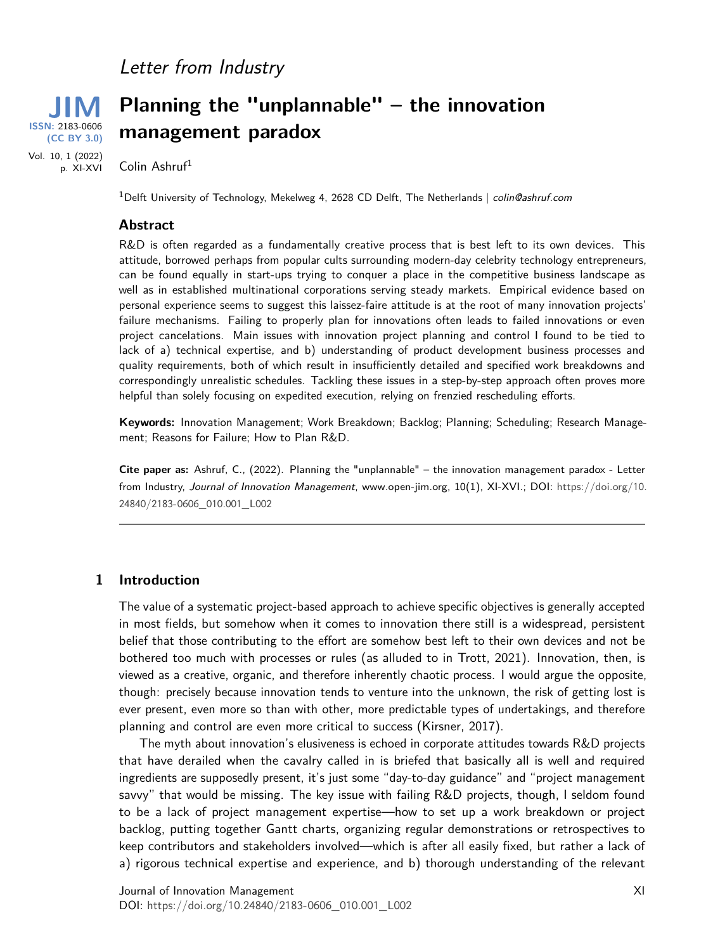## Letter from Industry



# **Planning the "unplannable" – the innovation management paradox**

Colin Ashruf<sup>1</sup>

<sup>1</sup>Delft University of Technology, Mekelweg 4, 2628 CD Delft, The Netherlands | colin@ashruf.com

#### **Abstract**

R&D is often regarded as a fundamentally creative process that is best left to its own devices. This attitude, borrowed perhaps from popular cults surrounding modern-day celebrity technology entrepreneurs, can be found equally in start-ups trying to conquer a place in the competitive business landscape as well as in established multinational corporations serving steady markets. Empirical evidence based on personal experience seems to suggest this laissez-faire attitude is at the root of many innovation projects' failure mechanisms. Failing to properly plan for innovations often leads to failed innovations or even project cancelations. Main issues with innovation project planning and control I found to be tied to lack of a) technical expertise, and b) understanding of product development business processes and quality requirements, both of which result in insufficiently detailed and specified work breakdowns and correspondingly unrealistic schedules. Tackling these issues in a step-by-step approach often proves more helpful than solely focusing on expedited execution, relying on frenzied rescheduling efforts.

**Keywords:** Innovation Management; Work Breakdown; Backlog; Planning; Scheduling; Research Management; Reasons for Failure; How to Plan R&D.

**Cite paper as:** Ashruf, C., (2022). Planning the "unplannable" – the innovation management paradox - Letter from Industry, Journal of Innovation Management, www.open-jim.org, 10(1), XI-XVI.; DOI: [https://doi.org/](https://doi.org/10.24840/2183-0606_010.001_L002)10. [24840](https://doi.org/10.24840/2183-0606_010.001_L002)/2183-0606\_010.001\_L002

#### **1 Introduction**

The value of a systematic project-based approach to achieve specific objectives is generally accepted in most fields, but somehow when it comes to innovation there still is a widespread, persistent belief that those contributing to the effort are somehow best left to their own devices and not be bothered too much with processes or rules (as alluded to in Trott, 2021). Innovation, then, is viewed as a creative, organic, and therefore inherently chaotic process. I would argue the opposite, though: precisely because innovation tends to venture into the unknown, the risk of getting lost is ever present, even more so than with other, more predictable types of undertakings, and therefore planning and control are even more critical to success (Kirsner, 2017).

The myth about innovation's elusiveness is echoed in corporate attitudes towards R&D projects that have derailed when the cavalry called in is briefed that basically all is well and required ingredients are supposedly present, it's just some "day-to-day guidance" and "project management savvy" that would be missing. The key issue with failing R&D projects, though, I seldom found to be a lack of project management expertise—how to set up a work breakdown or project backlog, putting together Gantt charts, organizing regular demonstrations or retrospectives to keep contributors and stakeholders involved—which is after all easily fixed, but rather a lack of a) rigorous technical expertise and experience, and b) thorough understanding of the relevant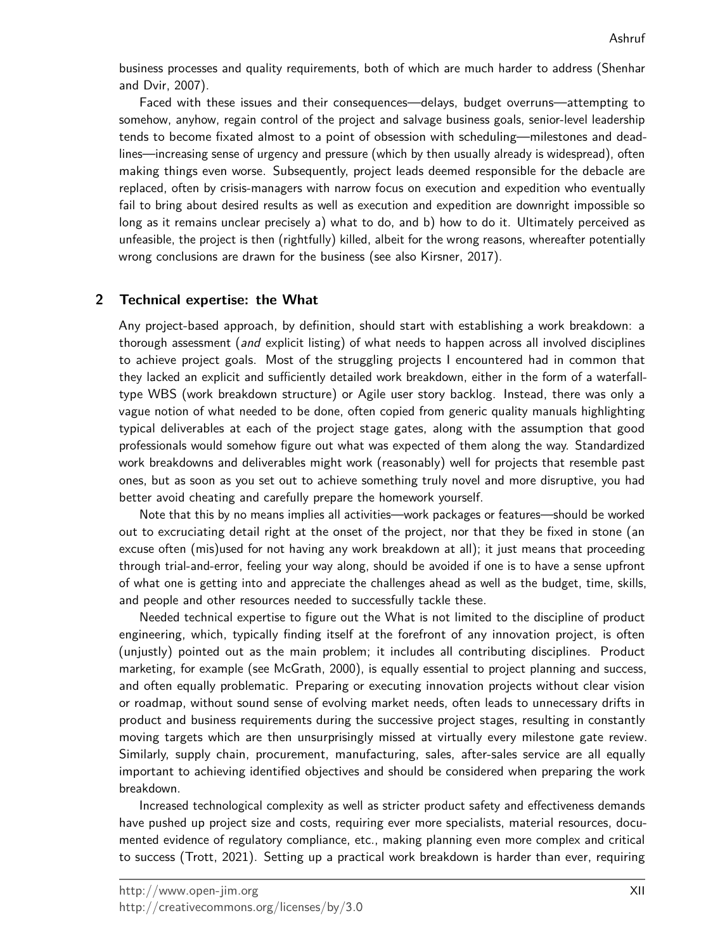business processes and quality requirements, both of which are much harder to address (Shenhar and Dvir, 2007).

Faced with these issues and their consequences—delays, budget overruns—attempting to somehow, anyhow, regain control of the project and salvage business goals, senior-level leadership tends to become fixated almost to a point of obsession with scheduling—milestones and deadlines—increasing sense of urgency and pressure (which by then usually already is widespread), often making things even worse. Subsequently, project leads deemed responsible for the debacle are replaced, often by crisis-managers with narrow focus on execution and expedition who eventually fail to bring about desired results as well as execution and expedition are downright impossible so long as it remains unclear precisely a) what to do, and b) how to do it. Ultimately perceived as unfeasible, the project is then (rightfully) killed, albeit for the wrong reasons, whereafter potentially wrong conclusions are drawn for the business (see also Kirsner, 2017).

#### **2 Technical expertise: the What**

Any project-based approach, by definition, should start with establishing a work breakdown: a thorough assessment (and explicit listing) of what needs to happen across all involved disciplines to achieve project goals. Most of the struggling projects I encountered had in common that they lacked an explicit and sufficiently detailed work breakdown, either in the form of a waterfalltype WBS (work breakdown structure) or Agile user story backlog. Instead, there was only a vague notion of what needed to be done, often copied from generic quality manuals highlighting typical deliverables at each of the project stage gates, along with the assumption that good professionals would somehow figure out what was expected of them along the way. Standardized work breakdowns and deliverables might work (reasonably) well for projects that resemble past ones, but as soon as you set out to achieve something truly novel and more disruptive, you had better avoid cheating and carefully prepare the homework yourself.

Note that this by no means implies all activities—work packages or features—should be worked out to excruciating detail right at the onset of the project, nor that they be fixed in stone (an excuse often (mis)used for not having any work breakdown at all); it just means that proceeding through trial-and-error, feeling your way along, should be avoided if one is to have a sense upfront of what one is getting into and appreciate the challenges ahead as well as the budget, time, skills, and people and other resources needed to successfully tackle these.

Needed technical expertise to figure out the What is not limited to the discipline of product engineering, which, typically finding itself at the forefront of any innovation project, is often (unjustly) pointed out as the main problem; it includes all contributing disciplines. Product marketing, for example (see McGrath, 2000), is equally essential to project planning and success, and often equally problematic. Preparing or executing innovation projects without clear vision or roadmap, without sound sense of evolving market needs, often leads to unnecessary drifts in product and business requirements during the successive project stages, resulting in constantly moving targets which are then unsurprisingly missed at virtually every milestone gate review. Similarly, supply chain, procurement, manufacturing, sales, after-sales service are all equally important to achieving identified objectives and should be considered when preparing the work breakdown.

Increased technological complexity as well as stricter product safety and effectiveness demands have pushed up project size and costs, requiring ever more specialists, material resources, documented evidence of regulatory compliance, etc., making planning even more complex and critical to success (Trott, 2021). Setting up a practical work breakdown is harder than ever, requiring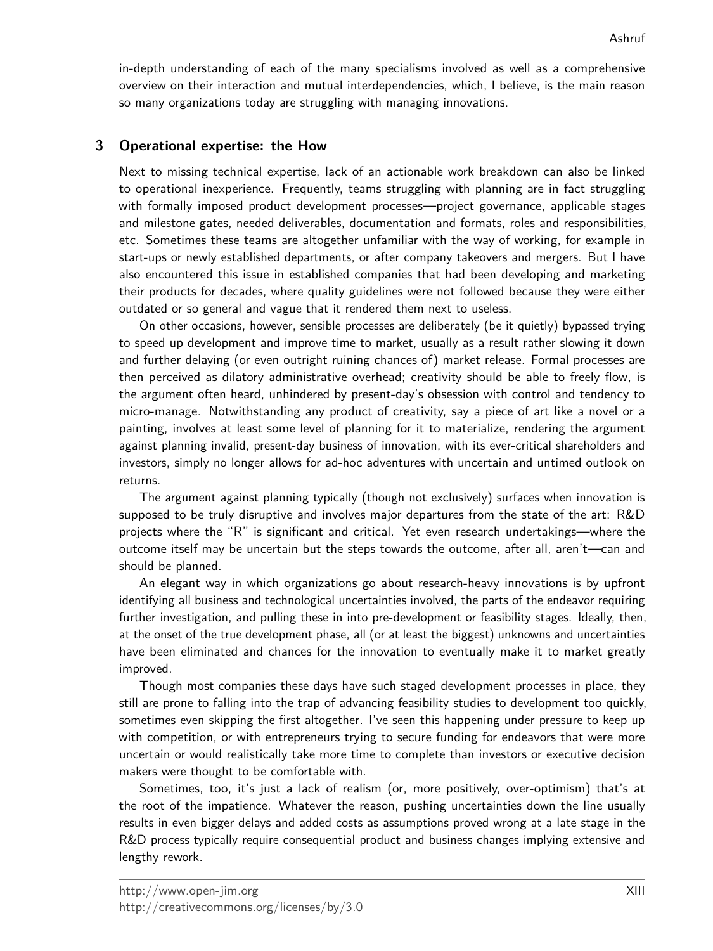in-depth understanding of each of the many specialisms involved as well as a comprehensive overview on their interaction and mutual interdependencies, which, I believe, is the main reason so many organizations today are struggling with managing innovations.

### **3 Operational expertise: the How**

Next to missing technical expertise, lack of an actionable work breakdown can also be linked to operational inexperience. Frequently, teams struggling with planning are in fact struggling with formally imposed product development processes—project governance, applicable stages and milestone gates, needed deliverables, documentation and formats, roles and responsibilities, etc. Sometimes these teams are altogether unfamiliar with the way of working, for example in start-ups or newly established departments, or after company takeovers and mergers. But I have also encountered this issue in established companies that had been developing and marketing their products for decades, where quality guidelines were not followed because they were either outdated or so general and vague that it rendered them next to useless.

On other occasions, however, sensible processes are deliberately (be it quietly) bypassed trying to speed up development and improve time to market, usually as a result rather slowing it down and further delaying (or even outright ruining chances of) market release. Formal processes are then perceived as dilatory administrative overhead; creativity should be able to freely flow, is the argument often heard, unhindered by present-day's obsession with control and tendency to micro-manage. Notwithstanding any product of creativity, say a piece of art like a novel or a painting, involves at least some level of planning for it to materialize, rendering the argument against planning invalid, present-day business of innovation, with its ever-critical shareholders and investors, simply no longer allows for ad-hoc adventures with uncertain and untimed outlook on returns.

The argument against planning typically (though not exclusively) surfaces when innovation is supposed to be truly disruptive and involves major departures from the state of the art: R&D projects where the "R" is significant and critical. Yet even research undertakings—where the outcome itself may be uncertain but the steps towards the outcome, after all, aren't—can and should be planned.

An elegant way in which organizations go about research-heavy innovations is by upfront identifying all business and technological uncertainties involved, the parts of the endeavor requiring further investigation, and pulling these in into pre-development or feasibility stages. Ideally, then, at the onset of the true development phase, all (or at least the biggest) unknowns and uncertainties have been eliminated and chances for the innovation to eventually make it to market greatly improved.

Though most companies these days have such staged development processes in place, they still are prone to falling into the trap of advancing feasibility studies to development too quickly, sometimes even skipping the first altogether. I've seen this happening under pressure to keep up with competition, or with entrepreneurs trying to secure funding for endeavors that were more uncertain or would realistically take more time to complete than investors or executive decision makers were thought to be comfortable with.

Sometimes, too, it's just a lack of realism (or, more positively, over-optimism) that's at the root of the impatience. Whatever the reason, pushing uncertainties down the line usually results in even bigger delays and added costs as assumptions proved wrong at a late stage in the R&D process typically require consequential product and business changes implying extensive and lengthy rework.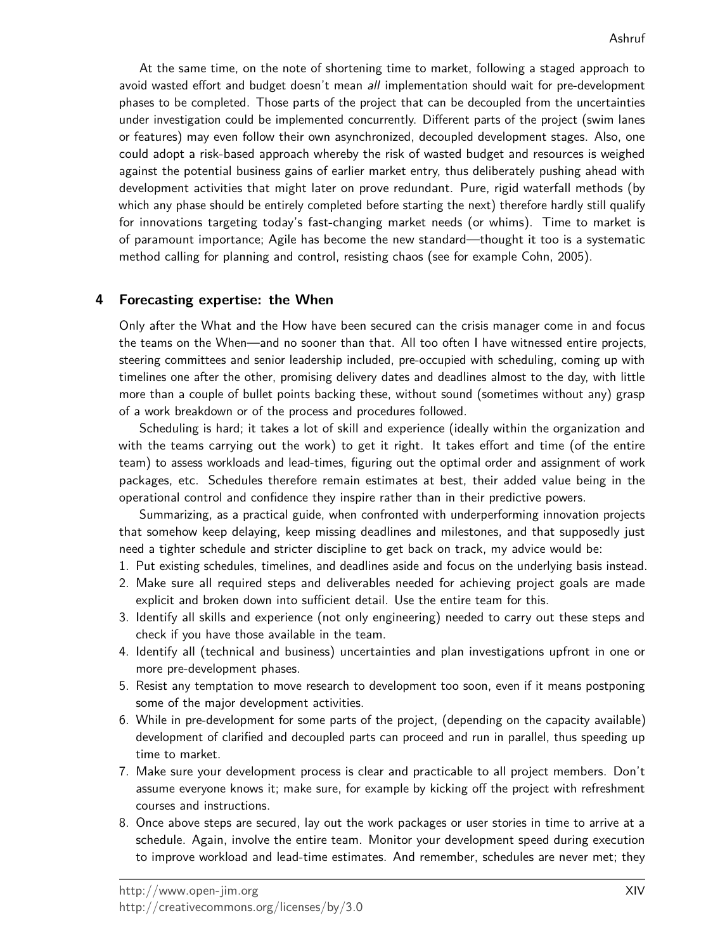At the same time, on the note of shortening time to market, following a staged approach to avoid wasted effort and budget doesn't mean all implementation should wait for pre-development phases to be completed. Those parts of the project that can be decoupled from the uncertainties under investigation could be implemented concurrently. Different parts of the project (swim lanes or features) may even follow their own asynchronized, decoupled development stages. Also, one could adopt a risk-based approach whereby the risk of wasted budget and resources is weighed against the potential business gains of earlier market entry, thus deliberately pushing ahead with development activities that might later on prove redundant. Pure, rigid waterfall methods (by which any phase should be entirely completed before starting the next) therefore hardly still qualify for innovations targeting today's fast-changing market needs (or whims). Time to market is of paramount importance; Agile has become the new standard—thought it too is a systematic method calling for planning and control, resisting chaos (see for example Cohn, 2005).

#### **4 Forecasting expertise: the When**

Only after the What and the How have been secured can the crisis manager come in and focus the teams on the When—and no sooner than that. All too often I have witnessed entire projects, steering committees and senior leadership included, pre-occupied with scheduling, coming up with timelines one after the other, promising delivery dates and deadlines almost to the day, with little more than a couple of bullet points backing these, without sound (sometimes without any) grasp of a work breakdown or of the process and procedures followed.

Scheduling is hard; it takes a lot of skill and experience (ideally within the organization and with the teams carrying out the work) to get it right. It takes effort and time (of the entire team) to assess workloads and lead-times, figuring out the optimal order and assignment of work packages, etc. Schedules therefore remain estimates at best, their added value being in the operational control and confidence they inspire rather than in their predictive powers.

Summarizing, as a practical guide, when confronted with underperforming innovation projects that somehow keep delaying, keep missing deadlines and milestones, and that supposedly just need a tighter schedule and stricter discipline to get back on track, my advice would be:

- 1. Put existing schedules, timelines, and deadlines aside and focus on the underlying basis instead.
- 2. Make sure all required steps and deliverables needed for achieving project goals are made explicit and broken down into sufficient detail. Use the entire team for this.
- 3. Identify all skills and experience (not only engineering) needed to carry out these steps and check if you have those available in the team.
- 4. Identify all (technical and business) uncertainties and plan investigations upfront in one or more pre-development phases.
- 5. Resist any temptation to move research to development too soon, even if it means postponing some of the major development activities.
- 6. While in pre-development for some parts of the project, (depending on the capacity available) development of clarified and decoupled parts can proceed and run in parallel, thus speeding up time to market.
- 7. Make sure your development process is clear and practicable to all project members. Don't assume everyone knows it; make sure, for example by kicking off the project with refreshment courses and instructions.
- 8. Once above steps are secured, lay out the work packages or user stories in time to arrive at a schedule. Again, involve the entire team. Monitor your development speed during execution to improve workload and lead-time estimates. And remember, schedules are never met; they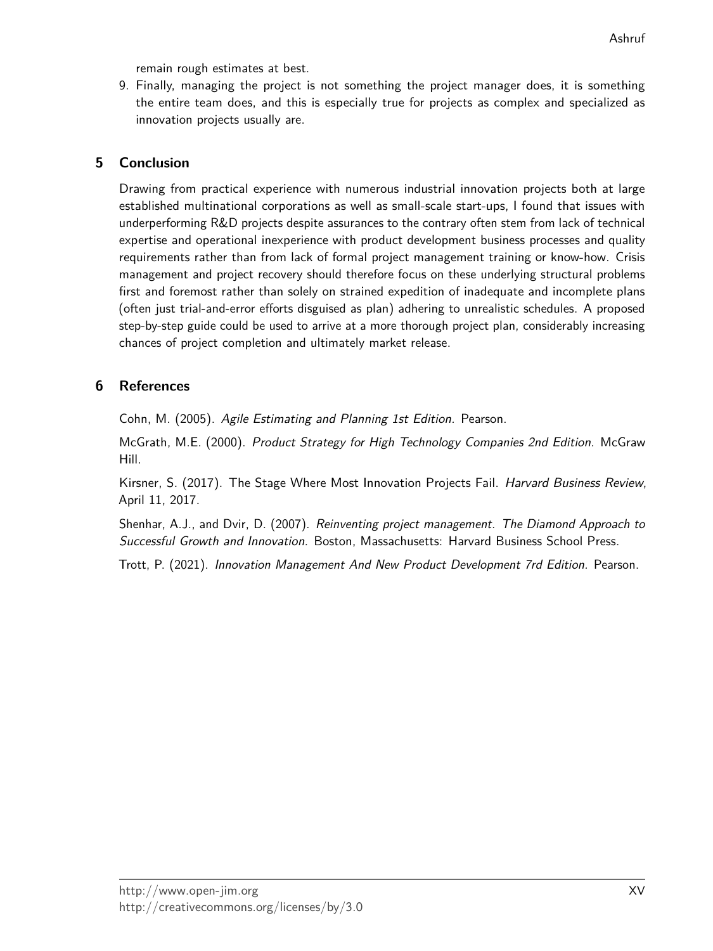remain rough estimates at best.

9. Finally, managing the project is not something the project manager does, it is something the entire team does, and this is especially true for projects as complex and specialized as innovation projects usually are.

#### **5 Conclusion**

Drawing from practical experience with numerous industrial innovation projects both at large established multinational corporations as well as small-scale start-ups, I found that issues with underperforming R&D projects despite assurances to the contrary often stem from lack of technical expertise and operational inexperience with product development business processes and quality requirements rather than from lack of formal project management training or know-how. Crisis management and project recovery should therefore focus on these underlying structural problems first and foremost rather than solely on strained expedition of inadequate and incomplete plans (often just trial-and-error efforts disguised as plan) adhering to unrealistic schedules. A proposed step-by-step guide could be used to arrive at a more thorough project plan, considerably increasing chances of project completion and ultimately market release.

#### **6 References**

Cohn, M. (2005). Agile Estimating and Planning 1st Edition. Pearson.

McGrath, M.E. (2000). Product Strategy for High Technology Companies 2nd Edition. McGraw Hill.

Kirsner, S. (2017). The Stage Where Most Innovation Projects Fail. Harvard Business Review, April 11, 2017.

Shenhar, A.J., and Dvir, D. (2007). Reinventing project management. The Diamond Approach to Successful Growth and Innovation. Boston, Massachusetts: Harvard Business School Press.

Trott, P. (2021). Innovation Management And New Product Development 7rd Edition. Pearson.